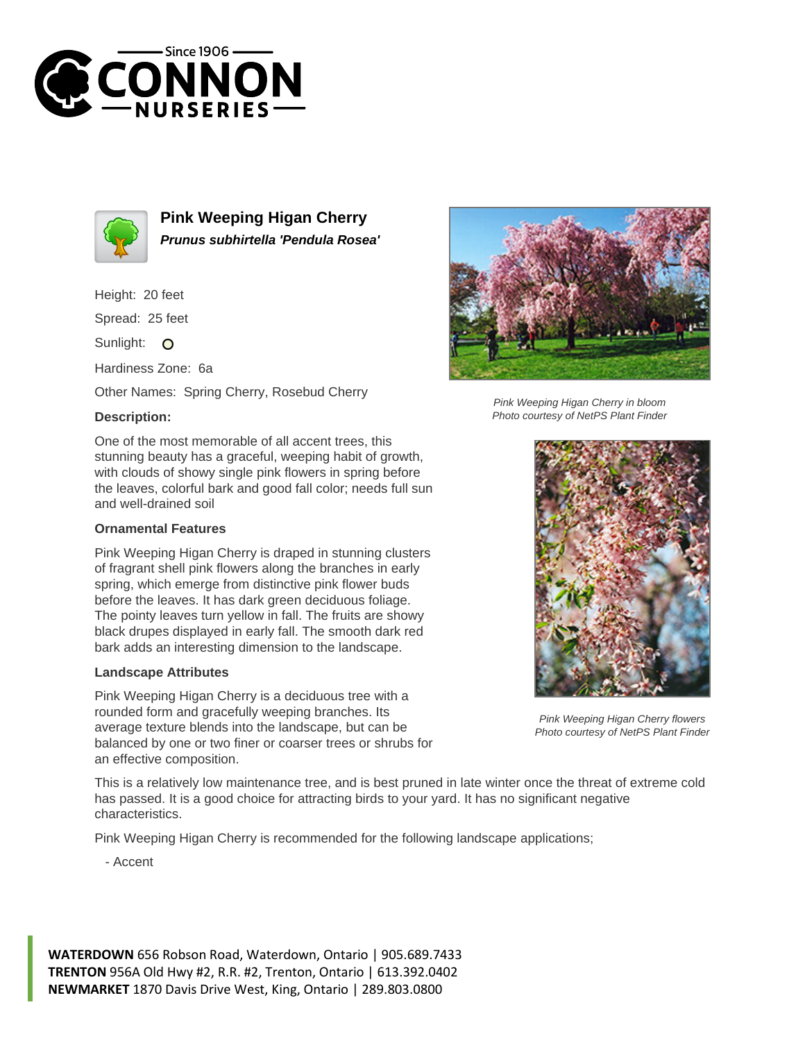



**Pink Weeping Higan Cherry Prunus subhirtella 'Pendula Rosea'**

Height: 20 feet

Spread: 25 feet

Sunlight: O

Hardiness Zone: 6a

Other Names: Spring Cherry, Rosebud Cherry

## **Description:**

One of the most memorable of all accent trees, this stunning beauty has a graceful, weeping habit of growth, with clouds of showy single pink flowers in spring before the leaves, colorful bark and good fall color; needs full sun and well-drained soil

## **Ornamental Features**

Pink Weeping Higan Cherry is draped in stunning clusters of fragrant shell pink flowers along the branches in early spring, which emerge from distinctive pink flower buds before the leaves. It has dark green deciduous foliage. The pointy leaves turn yellow in fall. The fruits are showy black drupes displayed in early fall. The smooth dark red bark adds an interesting dimension to the landscape.

## **Landscape Attributes**

Pink Weeping Higan Cherry is a deciduous tree with a rounded form and gracefully weeping branches. Its average texture blends into the landscape, but can be balanced by one or two finer or coarser trees or shrubs for an effective composition.



Pink Weeping Higan Cherry in bloom Photo courtesy of NetPS Plant Finder



Pink Weeping Higan Cherry flowers Photo courtesy of NetPS Plant Finder

This is a relatively low maintenance tree, and is best pruned in late winter once the threat of extreme cold has passed. It is a good choice for attracting birds to your yard. It has no significant negative characteristics.

Pink Weeping Higan Cherry is recommended for the following landscape applications;

- Accent

**WATERDOWN** 656 Robson Road, Waterdown, Ontario | 905.689.7433 **TRENTON** 956A Old Hwy #2, R.R. #2, Trenton, Ontario | 613.392.0402 **NEWMARKET** 1870 Davis Drive West, King, Ontario | 289.803.0800